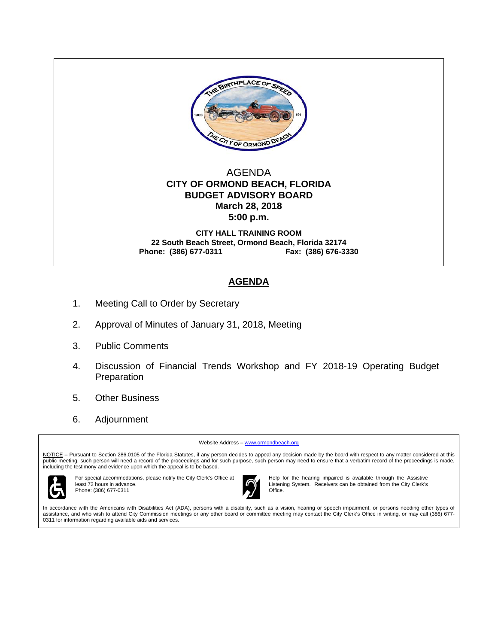

## AGENDA  **CITY OF ORMOND BEACH, FLORIDA BUDGET ADVISORY BOARD March 28, 2018 5:00 p.m.**

**CITY HALL TRAINING ROOM 22 South Beach Street, Ormond Beach, Florida 32174 Phone: (386) 677-0311 Fax: (386) 676-3330** 

# **AGENDA**

- 1. Meeting Call to Order by Secretary
- 2. Approval of Minutes of January 31, 2018, Meeting
- 3. Public Comments
- 4. Discussion of Financial Trends Workshop and FY 2018-19 Operating Budget Preparation
- 5. Other Business
- 6. Adjournment

Website Address - www.ormondbeach.org

NOTICE - Pursuant to Section 286.0105 of the Florida Statutes, if any person decides to appeal any decision made by the board with respect to any matter considered at this public meeting, such person will need a record of the proceedings and for such purpose, such person may need to ensure that a verbatim record of the proceedings is made, including the testimony and evidence upon which the appeal is to be based.



For special accommodations, please notify the City Clerk's Office at least 72 hours in advance. Phone: (386) 677-0311



Help for the hearing impaired is available through the Assistive Listening System. Receivers can be obtained from the City Clerk's **Office** 

In accordance with the Americans with Disabilities Act (ADA), persons with a disability, such as a vision, hearing or speech impairment, or persons needing other types of assistance, and who wish to attend City Commission meetings or any other board or committee meeting may contact the City Clerk's Office in writing, or may call (386) 677- 0311 for information regarding available aids and services.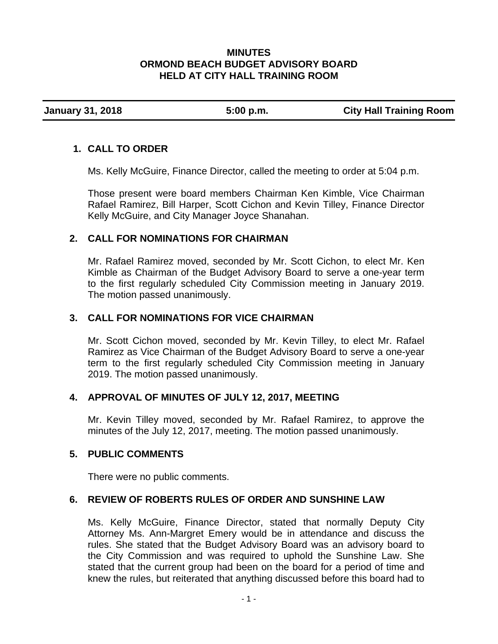## **MINUTES ORMOND BEACH BUDGET ADVISORY BOARD HELD AT CITY HALL TRAINING ROOM**

**January 31, 2018 5:00 p.m. City Hall Training Room** 

# **1. CALL TO ORDER**

Ms. Kelly McGuire, Finance Director, called the meeting to order at 5:04 p.m.

Those present were board members Chairman Ken Kimble, Vice Chairman Rafael Ramirez, Bill Harper, Scott Cichon and Kevin Tilley, Finance Director Kelly McGuire, and City Manager Joyce Shanahan.

# **2. CALL FOR NOMINATIONS FOR CHAIRMAN**

Mr. Rafael Ramirez moved, seconded by Mr. Scott Cichon, to elect Mr. Ken Kimble as Chairman of the Budget Advisory Board to serve a one-year term to the first regularly scheduled City Commission meeting in January 2019. The motion passed unanimously.

# **3. CALL FOR NOMINATIONS FOR VICE CHAIRMAN**

Mr. Scott Cichon moved, seconded by Mr. Kevin Tilley, to elect Mr. Rafael Ramirez as Vice Chairman of the Budget Advisory Board to serve a one-year term to the first regularly scheduled City Commission meeting in January 2019. The motion passed unanimously.

# **4. APPROVAL OF MINUTES OF JULY 12, 2017, MEETING**

Mr. Kevin Tilley moved, seconded by Mr. Rafael Ramirez, to approve the minutes of the July 12, 2017, meeting. The motion passed unanimously.

## **5. PUBLIC COMMENTS**

There were no public comments.

# **6. REVIEW OF ROBERTS RULES OF ORDER AND SUNSHINE LAW**

Ms. Kelly McGuire, Finance Director, stated that normally Deputy City Attorney Ms. Ann-Margret Emery would be in attendance and discuss the rules. She stated that the Budget Advisory Board was an advisory board to the City Commission and was required to uphold the Sunshine Law. She stated that the current group had been on the board for a period of time and knew the rules, but reiterated that anything discussed before this board had to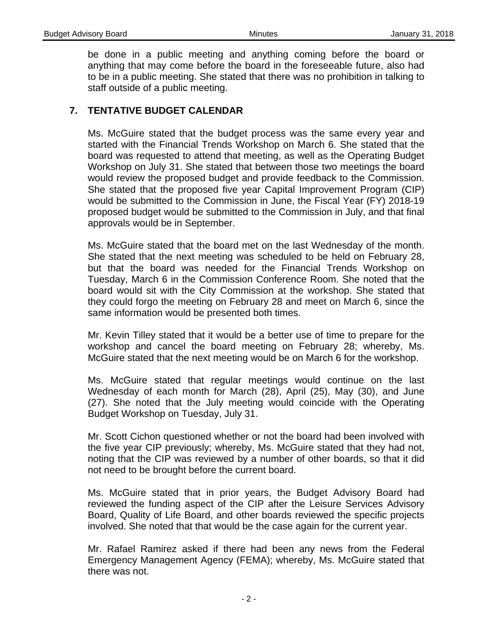be done in a public meeting and anything coming before the board or anything that may come before the board in the foreseeable future, also had to be in a public meeting. She stated that there was no prohibition in talking to staff outside of a public meeting.

# **7. TENTATIVE BUDGET CALENDAR**

Ms. McGuire stated that the budget process was the same every year and started with the Financial Trends Workshop on March 6. She stated that the board was requested to attend that meeting, as well as the Operating Budget Workshop on July 31. She stated that between those two meetings the board would review the proposed budget and provide feedback to the Commission. She stated that the proposed five year Capital Improvement Program (CIP) would be submitted to the Commission in June, the Fiscal Year (FY) 2018-19 proposed budget would be submitted to the Commission in July, and that final approvals would be in September.

Ms. McGuire stated that the board met on the last Wednesday of the month. She stated that the next meeting was scheduled to be held on February 28, but that the board was needed for the Financial Trends Workshop on Tuesday, March 6 in the Commission Conference Room. She noted that the board would sit with the City Commission at the workshop. She stated that they could forgo the meeting on February 28 and meet on March 6, since the same information would be presented both times.

Mr. Kevin Tilley stated that it would be a better use of time to prepare for the workshop and cancel the board meeting on February 28; whereby, Ms. McGuire stated that the next meeting would be on March 6 for the workshop.

Ms. McGuire stated that regular meetings would continue on the last Wednesday of each month for March (28), April (25), May (30), and June (27). She noted that the July meeting would coincide with the Operating Budget Workshop on Tuesday, July 31.

Mr. Scott Cichon questioned whether or not the board had been involved with the five year CIP previously; whereby, Ms. McGuire stated that they had not, noting that the CIP was reviewed by a number of other boards, so that it did not need to be brought before the current board.

Ms. McGuire stated that in prior years, the Budget Advisory Board had reviewed the funding aspect of the CIP after the Leisure Services Advisory Board, Quality of Life Board, and other boards reviewed the specific projects involved. She noted that that would be the case again for the current year.

Mr. Rafael Ramirez asked if there had been any news from the Federal Emergency Management Agency (FEMA); whereby, Ms. McGuire stated that there was not.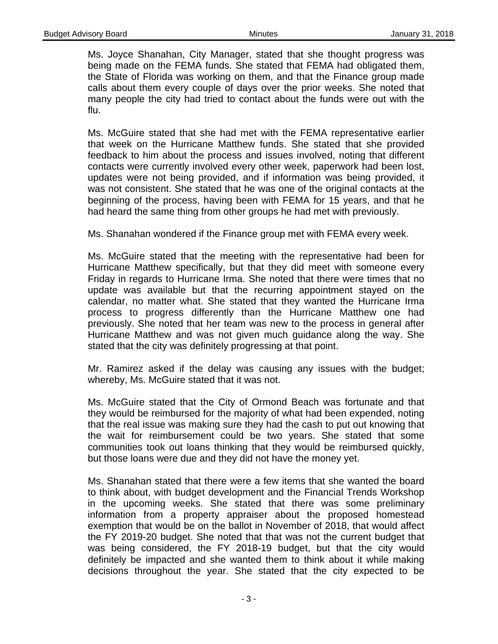Ms. Joyce Shanahan, City Manager, stated that she thought progress was being made on the FEMA funds. She stated that FEMA had obligated them, the State of Florida was working on them, and that the Finance group made calls about them every couple of days over the prior weeks. She noted that many people the city had tried to contact about the funds were out with the flu.

Ms. McGuire stated that she had met with the FEMA representative earlier that week on the Hurricane Matthew funds. She stated that she provided feedback to him about the process and issues involved, noting that different contacts were currently involved every other week, paperwork had been lost, updates were not being provided, and if information was being provided, it was not consistent. She stated that he was one of the original contacts at the beginning of the process, having been with FEMA for 15 years, and that he had heard the same thing from other groups he had met with previously.

Ms. Shanahan wondered if the Finance group met with FEMA every week.

Ms. McGuire stated that the meeting with the representative had been for Hurricane Matthew specifically, but that they did meet with someone every Friday in regards to Hurricane Irma. She noted that there were times that no update was available but that the recurring appointment stayed on the calendar, no matter what. She stated that they wanted the Hurricane Irma process to progress differently than the Hurricane Matthew one had previously. She noted that her team was new to the process in general after Hurricane Matthew and was not given much guidance along the way. She stated that the city was definitely progressing at that point.

Mr. Ramirez asked if the delay was causing any issues with the budget; whereby, Ms. McGuire stated that it was not.

Ms. McGuire stated that the City of Ormond Beach was fortunate and that they would be reimbursed for the majority of what had been expended, noting that the real issue was making sure they had the cash to put out knowing that the wait for reimbursement could be two years. She stated that some communities took out loans thinking that they would be reimbursed quickly, but those loans were due and they did not have the money yet.

Ms. Shanahan stated that there were a few items that she wanted the board to think about, with budget development and the Financial Trends Workshop in the upcoming weeks. She stated that there was some preliminary information from a property appraiser about the proposed homestead exemption that would be on the ballot in November of 2018, that would affect the FY 2019-20 budget. She noted that that was not the current budget that was being considered, the FY 2018-19 budget, but that the city would definitely be impacted and she wanted them to think about it while making decisions throughout the year. She stated that the city expected to be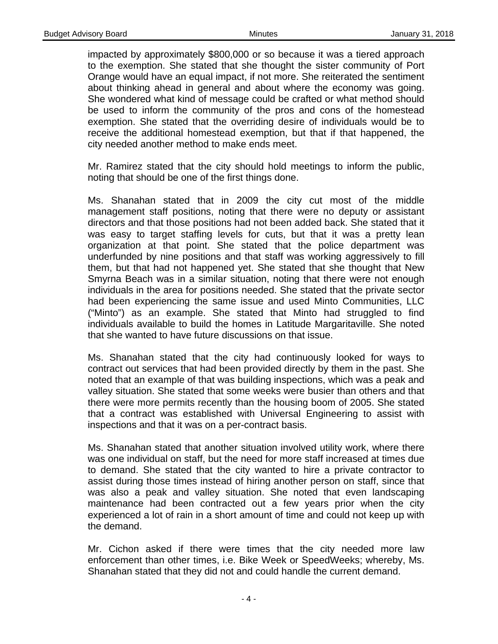impacted by approximately \$800,000 or so because it was a tiered approach to the exemption. She stated that she thought the sister community of Port Orange would have an equal impact, if not more. She reiterated the sentiment about thinking ahead in general and about where the economy was going. She wondered what kind of message could be crafted or what method should be used to inform the community of the pros and cons of the homestead exemption. She stated that the overriding desire of individuals would be to receive the additional homestead exemption, but that if that happened, the city needed another method to make ends meet.

Mr. Ramirez stated that the city should hold meetings to inform the public, noting that should be one of the first things done.

Ms. Shanahan stated that in 2009 the city cut most of the middle management staff positions, noting that there were no deputy or assistant directors and that those positions had not been added back. She stated that it was easy to target staffing levels for cuts, but that it was a pretty lean organization at that point. She stated that the police department was underfunded by nine positions and that staff was working aggressively to fill them, but that had not happened yet. She stated that she thought that New Smyrna Beach was in a similar situation, noting that there were not enough individuals in the area for positions needed. She stated that the private sector had been experiencing the same issue and used Minto Communities, LLC ("Minto") as an example. She stated that Minto had struggled to find individuals available to build the homes in Latitude Margaritaville. She noted that she wanted to have future discussions on that issue.

Ms. Shanahan stated that the city had continuously looked for ways to contract out services that had been provided directly by them in the past. She noted that an example of that was building inspections, which was a peak and valley situation. She stated that some weeks were busier than others and that there were more permits recently than the housing boom of 2005. She stated that a contract was established with Universal Engineering to assist with inspections and that it was on a per-contract basis.

Ms. Shanahan stated that another situation involved utility work, where there was one individual on staff, but the need for more staff increased at times due to demand. She stated that the city wanted to hire a private contractor to assist during those times instead of hiring another person on staff, since that was also a peak and valley situation. She noted that even landscaping maintenance had been contracted out a few years prior when the city experienced a lot of rain in a short amount of time and could not keep up with the demand.

Mr. Cichon asked if there were times that the city needed more law enforcement than other times, i.e. Bike Week or SpeedWeeks; whereby, Ms. Shanahan stated that they did not and could handle the current demand.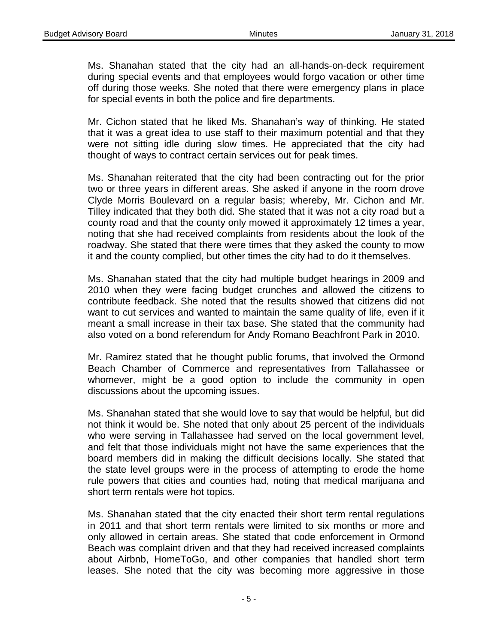Ms. Shanahan stated that the city had an all-hands-on-deck requirement during special events and that employees would forgo vacation or other time off during those weeks. She noted that there were emergency plans in place for special events in both the police and fire departments.

Mr. Cichon stated that he liked Ms. Shanahan's way of thinking. He stated that it was a great idea to use staff to their maximum potential and that they were not sitting idle during slow times. He appreciated that the city had thought of ways to contract certain services out for peak times.

Ms. Shanahan reiterated that the city had been contracting out for the prior two or three years in different areas. She asked if anyone in the room drove Clyde Morris Boulevard on a regular basis; whereby, Mr. Cichon and Mr. Tilley indicated that they both did. She stated that it was not a city road but a county road and that the county only mowed it approximately 12 times a year, noting that she had received complaints from residents about the look of the roadway. She stated that there were times that they asked the county to mow it and the county complied, but other times the city had to do it themselves.

Ms. Shanahan stated that the city had multiple budget hearings in 2009 and 2010 when they were facing budget crunches and allowed the citizens to contribute feedback. She noted that the results showed that citizens did not want to cut services and wanted to maintain the same quality of life, even if it meant a small increase in their tax base. She stated that the community had also voted on a bond referendum for Andy Romano Beachfront Park in 2010.

Mr. Ramirez stated that he thought public forums, that involved the Ormond Beach Chamber of Commerce and representatives from Tallahassee or whomever, might be a good option to include the community in open discussions about the upcoming issues.

Ms. Shanahan stated that she would love to say that would be helpful, but did not think it would be. She noted that only about 25 percent of the individuals who were serving in Tallahassee had served on the local government level, and felt that those individuals might not have the same experiences that the board members did in making the difficult decisions locally. She stated that the state level groups were in the process of attempting to erode the home rule powers that cities and counties had, noting that medical marijuana and short term rentals were hot topics.

Ms. Shanahan stated that the city enacted their short term rental regulations in 2011 and that short term rentals were limited to six months or more and only allowed in certain areas. She stated that code enforcement in Ormond Beach was complaint driven and that they had received increased complaints about Airbnb, HomeToGo, and other companies that handled short term leases. She noted that the city was becoming more aggressive in those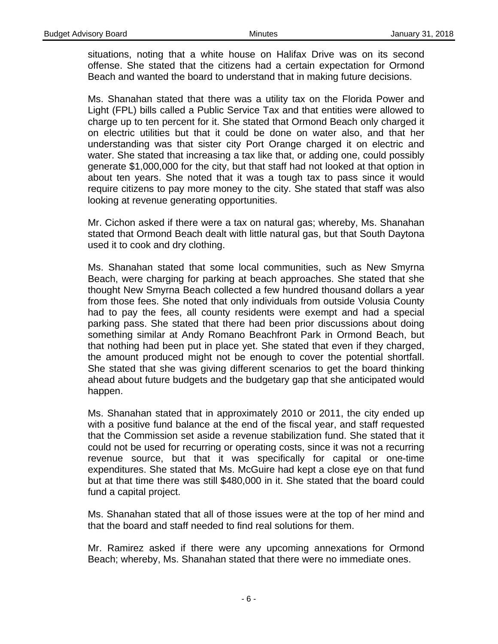situations, noting that a white house on Halifax Drive was on its second offense. She stated that the citizens had a certain expectation for Ormond Beach and wanted the board to understand that in making future decisions.

Ms. Shanahan stated that there was a utility tax on the Florida Power and Light (FPL) bills called a Public Service Tax and that entities were allowed to charge up to ten percent for it. She stated that Ormond Beach only charged it on electric utilities but that it could be done on water also, and that her understanding was that sister city Port Orange charged it on electric and water. She stated that increasing a tax like that, or adding one, could possibly generate \$1,000,000 for the city, but that staff had not looked at that option in about ten years. She noted that it was a tough tax to pass since it would require citizens to pay more money to the city. She stated that staff was also looking at revenue generating opportunities.

Mr. Cichon asked if there were a tax on natural gas; whereby, Ms. Shanahan stated that Ormond Beach dealt with little natural gas, but that South Daytona used it to cook and dry clothing.

Ms. Shanahan stated that some local communities, such as New Smyrna Beach, were charging for parking at beach approaches. She stated that she thought New Smyrna Beach collected a few hundred thousand dollars a year from those fees. She noted that only individuals from outside Volusia County had to pay the fees, all county residents were exempt and had a special parking pass. She stated that there had been prior discussions about doing something similar at Andy Romano Beachfront Park in Ormond Beach, but that nothing had been put in place yet. She stated that even if they charged, the amount produced might not be enough to cover the potential shortfall. She stated that she was giving different scenarios to get the board thinking ahead about future budgets and the budgetary gap that she anticipated would happen.

Ms. Shanahan stated that in approximately 2010 or 2011, the city ended up with a positive fund balance at the end of the fiscal year, and staff requested that the Commission set aside a revenue stabilization fund. She stated that it could not be used for recurring or operating costs, since it was not a recurring revenue source, but that it was specifically for capital or one-time expenditures. She stated that Ms. McGuire had kept a close eye on that fund but at that time there was still \$480,000 in it. She stated that the board could fund a capital project.

Ms. Shanahan stated that all of those issues were at the top of her mind and that the board and staff needed to find real solutions for them.

Mr. Ramirez asked if there were any upcoming annexations for Ormond Beach; whereby, Ms. Shanahan stated that there were no immediate ones.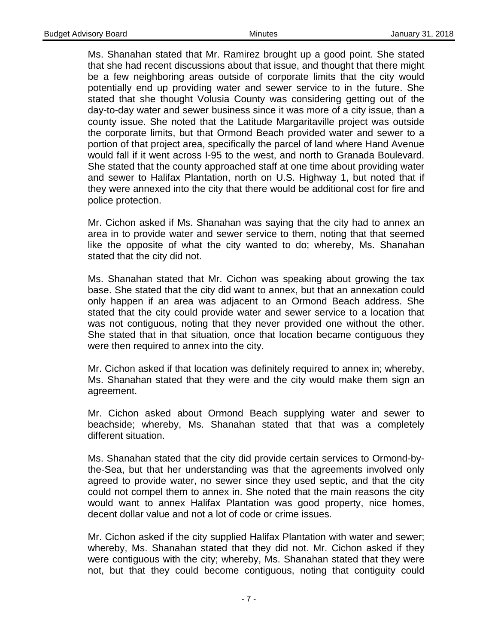Ms. Shanahan stated that Mr. Ramirez brought up a good point. She stated that she had recent discussions about that issue, and thought that there might be a few neighboring areas outside of corporate limits that the city would potentially end up providing water and sewer service to in the future. She stated that she thought Volusia County was considering getting out of the day-to-day water and sewer business since it was more of a city issue, than a county issue. She noted that the Latitude Margaritaville project was outside the corporate limits, but that Ormond Beach provided water and sewer to a portion of that project area, specifically the parcel of land where Hand Avenue would fall if it went across I-95 to the west, and north to Granada Boulevard. She stated that the county approached staff at one time about providing water and sewer to Halifax Plantation, north on U.S. Highway 1, but noted that if they were annexed into the city that there would be additional cost for fire and police protection.

Mr. Cichon asked if Ms. Shanahan was saying that the city had to annex an area in to provide water and sewer service to them, noting that that seemed like the opposite of what the city wanted to do; whereby, Ms. Shanahan stated that the city did not.

Ms. Shanahan stated that Mr. Cichon was speaking about growing the tax base. She stated that the city did want to annex, but that an annexation could only happen if an area was adjacent to an Ormond Beach address. She stated that the city could provide water and sewer service to a location that was not contiguous, noting that they never provided one without the other. She stated that in that situation, once that location became contiguous they were then required to annex into the city.

Mr. Cichon asked if that location was definitely required to annex in; whereby, Ms. Shanahan stated that they were and the city would make them sign an agreement.

Mr. Cichon asked about Ormond Beach supplying water and sewer to beachside; whereby, Ms. Shanahan stated that that was a completely different situation.

Ms. Shanahan stated that the city did provide certain services to Ormond-bythe-Sea, but that her understanding was that the agreements involved only agreed to provide water, no sewer since they used septic, and that the city could not compel them to annex in. She noted that the main reasons the city would want to annex Halifax Plantation was good property, nice homes, decent dollar value and not a lot of code or crime issues.

Mr. Cichon asked if the city supplied Halifax Plantation with water and sewer; whereby, Ms. Shanahan stated that they did not. Mr. Cichon asked if they were contiguous with the city; whereby, Ms. Shanahan stated that they were not, but that they could become contiguous, noting that contiguity could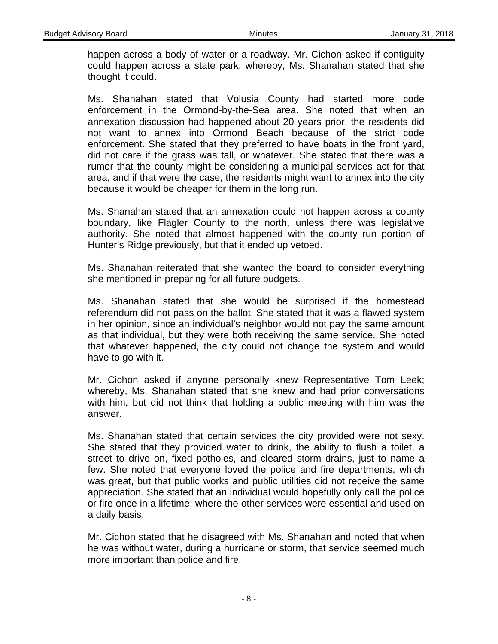happen across a body of water or a roadway. Mr. Cichon asked if contiguity could happen across a state park; whereby, Ms. Shanahan stated that she thought it could.

Ms. Shanahan stated that Volusia County had started more code enforcement in the Ormond-by-the-Sea area. She noted that when an annexation discussion had happened about 20 years prior, the residents did not want to annex into Ormond Beach because of the strict code enforcement. She stated that they preferred to have boats in the front yard, did not care if the grass was tall, or whatever. She stated that there was a rumor that the county might be considering a municipal services act for that area, and if that were the case, the residents might want to annex into the city because it would be cheaper for them in the long run.

Ms. Shanahan stated that an annexation could not happen across a county boundary, like Flagler County to the north, unless there was legislative authority. She noted that almost happened with the county run portion of Hunter's Ridge previously, but that it ended up vetoed.

Ms. Shanahan reiterated that she wanted the board to consider everything she mentioned in preparing for all future budgets.

Ms. Shanahan stated that she would be surprised if the homestead referendum did not pass on the ballot. She stated that it was a flawed system in her opinion, since an individual's neighbor would not pay the same amount as that individual, but they were both receiving the same service. She noted that whatever happened, the city could not change the system and would have to go with it.

Mr. Cichon asked if anyone personally knew Representative Tom Leek; whereby, Ms. Shanahan stated that she knew and had prior conversations with him, but did not think that holding a public meeting with him was the answer.

Ms. Shanahan stated that certain services the city provided were not sexy. She stated that they provided water to drink, the ability to flush a toilet, a street to drive on, fixed potholes, and cleared storm drains, just to name a few. She noted that everyone loved the police and fire departments, which was great, but that public works and public utilities did not receive the same appreciation. She stated that an individual would hopefully only call the police or fire once in a lifetime, where the other services were essential and used on a daily basis.

Mr. Cichon stated that he disagreed with Ms. Shanahan and noted that when he was without water, during a hurricane or storm, that service seemed much more important than police and fire.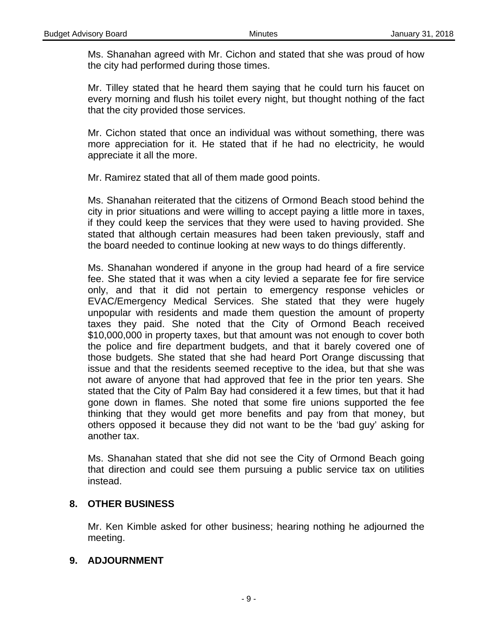Ms. Shanahan agreed with Mr. Cichon and stated that she was proud of how the city had performed during those times.

Mr. Tilley stated that he heard them saying that he could turn his faucet on every morning and flush his toilet every night, but thought nothing of the fact that the city provided those services.

Mr. Cichon stated that once an individual was without something, there was more appreciation for it. He stated that if he had no electricity, he would appreciate it all the more.

Mr. Ramirez stated that all of them made good points.

Ms. Shanahan reiterated that the citizens of Ormond Beach stood behind the city in prior situations and were willing to accept paying a little more in taxes, if they could keep the services that they were used to having provided. She stated that although certain measures had been taken previously, staff and the board needed to continue looking at new ways to do things differently.

Ms. Shanahan wondered if anyone in the group had heard of a fire service fee. She stated that it was when a city levied a separate fee for fire service only, and that it did not pertain to emergency response vehicles or EVAC/Emergency Medical Services. She stated that they were hugely unpopular with residents and made them question the amount of property taxes they paid. She noted that the City of Ormond Beach received \$10,000,000 in property taxes, but that amount was not enough to cover both the police and fire department budgets, and that it barely covered one of those budgets. She stated that she had heard Port Orange discussing that issue and that the residents seemed receptive to the idea, but that she was not aware of anyone that had approved that fee in the prior ten years. She stated that the City of Palm Bay had considered it a few times, but that it had gone down in flames. She noted that some fire unions supported the fee thinking that they would get more benefits and pay from that money, but others opposed it because they did not want to be the 'bad guy' asking for another tax.

Ms. Shanahan stated that she did not see the City of Ormond Beach going that direction and could see them pursuing a public service tax on utilities instead.

## **8. OTHER BUSINESS**

Mr. Ken Kimble asked for other business; hearing nothing he adjourned the meeting.

## **9. ADJOURNMENT**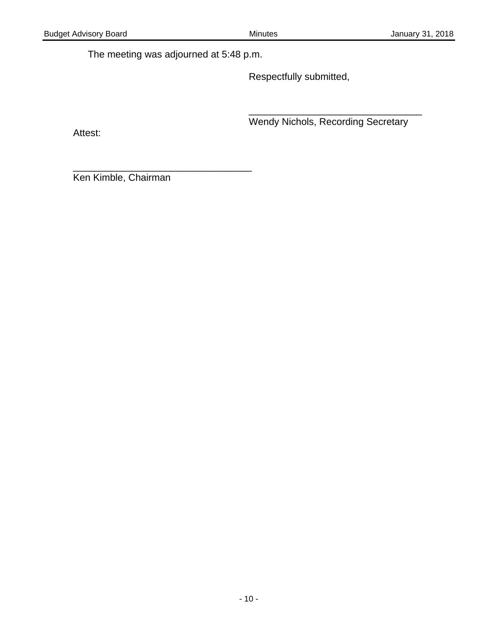The meeting was adjourned at 5:48 p.m.

\_\_\_\_\_\_\_\_\_\_\_\_\_\_\_\_\_\_\_\_\_\_\_\_\_\_\_\_\_\_\_\_\_

Respectfully submitted,

\_\_\_\_\_\_\_\_\_\_\_\_\_\_\_\_\_\_\_\_\_\_\_\_\_\_\_\_\_\_\_\_ **Example 21 Wendy Nichols, Recording Secretary** 

Attest:

Ken Kimble, Chairman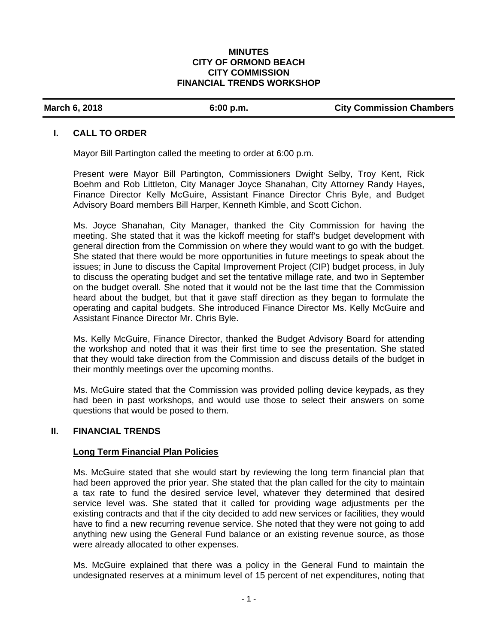### **MINUTES CITY OF ORMOND BEACH CITY COMMISSION FINANCIAL TRENDS WORKSHOP**

### March 6, 2018 **6:00 p.m. City Commission Chambers March 6.2018**

### **I. CALL TO ORDER**

Mayor Bill Partington called the meeting to order at 6:00 p.m.

Present were Mayor Bill Partington, Commissioners Dwight Selby, Troy Kent, Rick Boehm and Rob Littleton, City Manager Joyce Shanahan, City Attorney Randy Hayes, Finance Director Kelly McGuire, Assistant Finance Director Chris Byle, and Budget Advisory Board members Bill Harper, Kenneth Kimble, and Scott Cichon.

Ms. Joyce Shanahan, City Manager, thanked the City Commission for having the meeting. She stated that it was the kickoff meeting for staff's budget development with general direction from the Commission on where they would want to go with the budget. She stated that there would be more opportunities in future meetings to speak about the issues; in June to discuss the Capital Improvement Project (CIP) budget process, in July to discuss the operating budget and set the tentative millage rate, and two in September on the budget overall. She noted that it would not be the last time that the Commission heard about the budget, but that it gave staff direction as they began to formulate the operating and capital budgets. She introduced Finance Director Ms. Kelly McGuire and Assistant Finance Director Mr. Chris Byle.

Ms. Kelly McGuire, Finance Director, thanked the Budget Advisory Board for attending the workshop and noted that it was their first time to see the presentation. She stated that they would take direction from the Commission and discuss details of the budget in their monthly meetings over the upcoming months.

Ms. McGuire stated that the Commission was provided polling device keypads, as they had been in past workshops, and would use those to select their answers on some questions that would be posed to them.

## **II. FINANCIAL TRENDS**

## **Long Term Financial Plan Policies**

Ms. McGuire stated that she would start by reviewing the long term financial plan that had been approved the prior year. She stated that the plan called for the city to maintain a tax rate to fund the desired service level, whatever they determined that desired service level was. She stated that it called for providing wage adjustments per the existing contracts and that if the city decided to add new services or facilities, they would have to find a new recurring revenue service. She noted that they were not going to add anything new using the General Fund balance or an existing revenue source, as those were already allocated to other expenses.

Ms. McGuire explained that there was a policy in the General Fund to maintain the undesignated reserves at a minimum level of 15 percent of net expenditures, noting that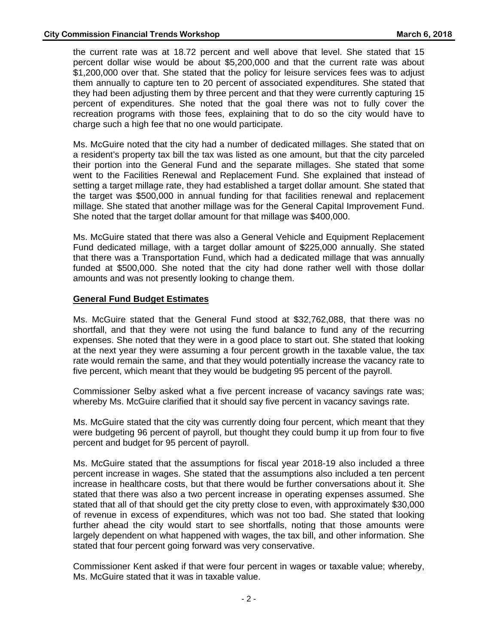the current rate was at 18.72 percent and well above that level. She stated that 15 percent dollar wise would be about \$5,200,000 and that the current rate was about \$1,200,000 over that. She stated that the policy for leisure services fees was to adjust them annually to capture ten to 20 percent of associated expenditures. She stated that they had been adjusting them by three percent and that they were currently capturing 15 percent of expenditures. She noted that the goal there was not to fully cover the recreation programs with those fees, explaining that to do so the city would have to charge such a high fee that no one would participate.

Ms. McGuire noted that the city had a number of dedicated millages. She stated that on a resident's property tax bill the tax was listed as one amount, but that the city parceled their portion into the General Fund and the separate millages. She stated that some went to the Facilities Renewal and Replacement Fund. She explained that instead of setting a target millage rate, they had established a target dollar amount. She stated that the target was \$500,000 in annual funding for that facilities renewal and replacement millage. She stated that another millage was for the General Capital Improvement Fund. She noted that the target dollar amount for that millage was \$400,000.

Ms. McGuire stated that there was also a General Vehicle and Equipment Replacement Fund dedicated millage, with a target dollar amount of \$225,000 annually. She stated that there was a Transportation Fund, which had a dedicated millage that was annually funded at \$500,000. She noted that the city had done rather well with those dollar amounts and was not presently looking to change them.

## **General Fund Budget Estimates**

Ms. McGuire stated that the General Fund stood at \$32,762,088, that there was no shortfall, and that they were not using the fund balance to fund any of the recurring expenses. She noted that they were in a good place to start out. She stated that looking at the next year they were assuming a four percent growth in the taxable value, the tax rate would remain the same, and that they would potentially increase the vacancy rate to five percent, which meant that they would be budgeting 95 percent of the payroll.

Commissioner Selby asked what a five percent increase of vacancy savings rate was; whereby Ms. McGuire clarified that it should say five percent in vacancy savings rate.

Ms. McGuire stated that the city was currently doing four percent, which meant that they were budgeting 96 percent of payroll, but thought they could bump it up from four to five percent and budget for 95 percent of payroll.

Ms. McGuire stated that the assumptions for fiscal year 2018-19 also included a three percent increase in wages. She stated that the assumptions also included a ten percent increase in healthcare costs, but that there would be further conversations about it. She stated that there was also a two percent increase in operating expenses assumed. She stated that all of that should get the city pretty close to even, with approximately \$30,000 of revenue in excess of expenditures, which was not too bad. She stated that looking further ahead the city would start to see shortfalls, noting that those amounts were largely dependent on what happened with wages, the tax bill, and other information. She stated that four percent going forward was very conservative.

Commissioner Kent asked if that were four percent in wages or taxable value; whereby, Ms. McGuire stated that it was in taxable value.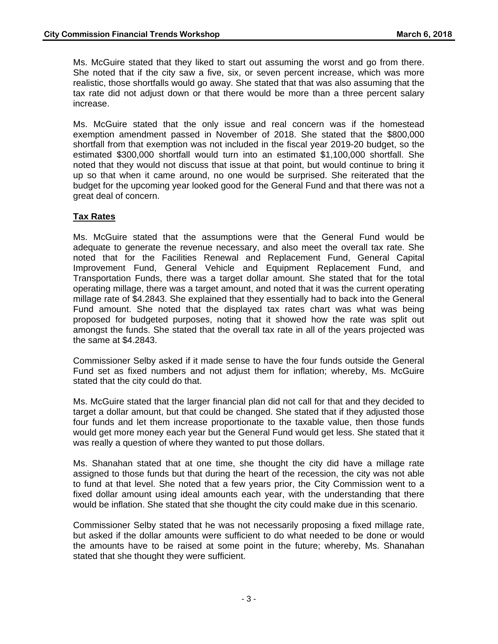Ms. McGuire stated that they liked to start out assuming the worst and go from there. She noted that if the city saw a five, six, or seven percent increase, which was more realistic, those shortfalls would go away. She stated that that was also assuming that the tax rate did not adjust down or that there would be more than a three percent salary increase.

Ms. McGuire stated that the only issue and real concern was if the homestead exemption amendment passed in November of 2018. She stated that the \$800,000 shortfall from that exemption was not included in the fiscal year 2019-20 budget, so the estimated \$300,000 shortfall would turn into an estimated \$1,100,000 shortfall. She noted that they would not discuss that issue at that point, but would continue to bring it up so that when it came around, no one would be surprised. She reiterated that the budget for the upcoming year looked good for the General Fund and that there was not a great deal of concern.

## **Tax Rates**

Ms. McGuire stated that the assumptions were that the General Fund would be adequate to generate the revenue necessary, and also meet the overall tax rate. She noted that for the Facilities Renewal and Replacement Fund, General Capital Improvement Fund, General Vehicle and Equipment Replacement Fund, and Transportation Funds, there was a target dollar amount. She stated that for the total operating millage, there was a target amount, and noted that it was the current operating millage rate of \$4.2843. She explained that they essentially had to back into the General Fund amount. She noted that the displayed tax rates chart was what was being proposed for budgeted purposes, noting that it showed how the rate was split out amongst the funds. She stated that the overall tax rate in all of the years projected was the same at \$4.2843.

Commissioner Selby asked if it made sense to have the four funds outside the General Fund set as fixed numbers and not adjust them for inflation; whereby, Ms. McGuire stated that the city could do that.

Ms. McGuire stated that the larger financial plan did not call for that and they decided to target a dollar amount, but that could be changed. She stated that if they adjusted those four funds and let them increase proportionate to the taxable value, then those funds would get more money each year but the General Fund would get less. She stated that it was really a question of where they wanted to put those dollars.

Ms. Shanahan stated that at one time, she thought the city did have a millage rate assigned to those funds but that during the heart of the recession, the city was not able to fund at that level. She noted that a few years prior, the City Commission went to a fixed dollar amount using ideal amounts each year, with the understanding that there would be inflation. She stated that she thought the city could make due in this scenario.

Commissioner Selby stated that he was not necessarily proposing a fixed millage rate, but asked if the dollar amounts were sufficient to do what needed to be done or would the amounts have to be raised at some point in the future; whereby, Ms. Shanahan stated that she thought they were sufficient.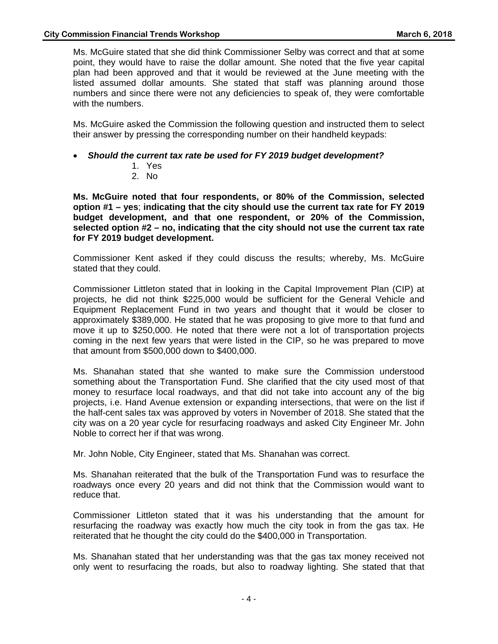Ms. McGuire stated that she did think Commissioner Selby was correct and that at some point, they would have to raise the dollar amount. She noted that the five year capital plan had been approved and that it would be reviewed at the June meeting with the listed assumed dollar amounts. She stated that staff was planning around those numbers and since there were not any deficiencies to speak of, they were comfortable with the numbers.

Ms. McGuire asked the Commission the following question and instructed them to select their answer by pressing the corresponding number on their handheld keypads:

- *Should the current tax rate be used for FY 2019 budget development?* 
	- 1. Yes
	- 2. No

**Ms. McGuire noted that four respondents, or 80% of the Commission, selected option #1 – yes**; **indicating that the city should use the current tax rate for FY 2019 budget development, and that one respondent, or 20% of the Commission, selected option #2 – no, indicating that the city should not use the current tax rate for FY 2019 budget development.** 

Commissioner Kent asked if they could discuss the results; whereby, Ms. McGuire stated that they could.

Commissioner Littleton stated that in looking in the Capital Improvement Plan (CIP) at projects, he did not think \$225,000 would be sufficient for the General Vehicle and Equipment Replacement Fund in two years and thought that it would be closer to approximately \$389,000. He stated that he was proposing to give more to that fund and move it up to \$250,000. He noted that there were not a lot of transportation projects coming in the next few years that were listed in the CIP, so he was prepared to move that amount from \$500,000 down to \$400,000.

Ms. Shanahan stated that she wanted to make sure the Commission understood something about the Transportation Fund. She clarified that the city used most of that money to resurface local roadways, and that did not take into account any of the big projects, i.e. Hand Avenue extension or expanding intersections, that were on the list if the half-cent sales tax was approved by voters in November of 2018. She stated that the city was on a 20 year cycle for resurfacing roadways and asked City Engineer Mr. John Noble to correct her if that was wrong.

Mr. John Noble, City Engineer, stated that Ms. Shanahan was correct.

Ms. Shanahan reiterated that the bulk of the Transportation Fund was to resurface the roadways once every 20 years and did not think that the Commission would want to reduce that.

Commissioner Littleton stated that it was his understanding that the amount for resurfacing the roadway was exactly how much the city took in from the gas tax. He reiterated that he thought the city could do the \$400,000 in Transportation.

Ms. Shanahan stated that her understanding was that the gas tax money received not only went to resurfacing the roads, but also to roadway lighting. She stated that that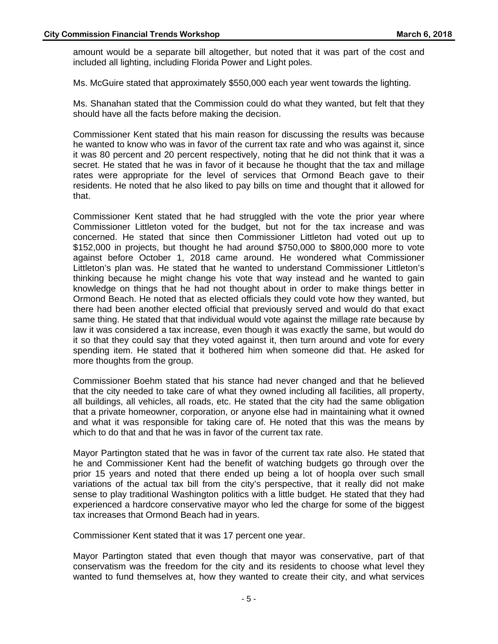amount would be a separate bill altogether, but noted that it was part of the cost and included all lighting, including Florida Power and Light poles.

Ms. McGuire stated that approximately \$550,000 each year went towards the lighting.

Ms. Shanahan stated that the Commission could do what they wanted, but felt that they should have all the facts before making the decision.

Commissioner Kent stated that his main reason for discussing the results was because he wanted to know who was in favor of the current tax rate and who was against it, since it was 80 percent and 20 percent respectively, noting that he did not think that it was a secret. He stated that he was in favor of it because he thought that the tax and millage rates were appropriate for the level of services that Ormond Beach gave to their residents. He noted that he also liked to pay bills on time and thought that it allowed for that.

Commissioner Kent stated that he had struggled with the vote the prior year where Commissioner Littleton voted for the budget, but not for the tax increase and was concerned. He stated that since then Commissioner Littleton had voted out up to \$152,000 in projects, but thought he had around \$750,000 to \$800,000 more to vote against before October 1, 2018 came around. He wondered what Commissioner Littleton's plan was. He stated that he wanted to understand Commissioner Littleton's thinking because he might change his vote that way instead and he wanted to gain knowledge on things that he had not thought about in order to make things better in Ormond Beach. He noted that as elected officials they could vote how they wanted, but there had been another elected official that previously served and would do that exact same thing. He stated that that individual would vote against the millage rate because by law it was considered a tax increase, even though it was exactly the same, but would do it so that they could say that they voted against it, then turn around and vote for every spending item. He stated that it bothered him when someone did that. He asked for more thoughts from the group.

Commissioner Boehm stated that his stance had never changed and that he believed that the city needed to take care of what they owned including all facilities, all property, all buildings, all vehicles, all roads, etc. He stated that the city had the same obligation that a private homeowner, corporation, or anyone else had in maintaining what it owned and what it was responsible for taking care of. He noted that this was the means by which to do that and that he was in favor of the current tax rate.

Mayor Partington stated that he was in favor of the current tax rate also. He stated that he and Commissioner Kent had the benefit of watching budgets go through over the prior 15 years and noted that there ended up being a lot of hoopla over such small variations of the actual tax bill from the city's perspective, that it really did not make sense to play traditional Washington politics with a little budget. He stated that they had experienced a hardcore conservative mayor who led the charge for some of the biggest tax increases that Ormond Beach had in years.

Commissioner Kent stated that it was 17 percent one year.

Mayor Partington stated that even though that mayor was conservative, part of that conservatism was the freedom for the city and its residents to choose what level they wanted to fund themselves at, how they wanted to create their city, and what services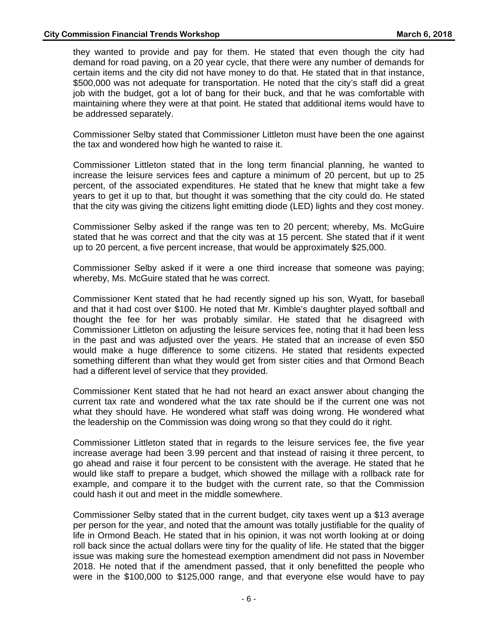they wanted to provide and pay for them. He stated that even though the city had demand for road paving, on a 20 year cycle, that there were any number of demands for certain items and the city did not have money to do that. He stated that in that instance, \$500,000 was not adequate for transportation. He noted that the city's staff did a great job with the budget, got a lot of bang for their buck, and that he was comfortable with maintaining where they were at that point. He stated that additional items would have to be addressed separately.

Commissioner Selby stated that Commissioner Littleton must have been the one against the tax and wondered how high he wanted to raise it.

Commissioner Littleton stated that in the long term financial planning, he wanted to increase the leisure services fees and capture a minimum of 20 percent, but up to 25 percent, of the associated expenditures. He stated that he knew that might take a few years to get it up to that, but thought it was something that the city could do. He stated that the city was giving the citizens light emitting diode (LED) lights and they cost money.

Commissioner Selby asked if the range was ten to 20 percent; whereby, Ms. McGuire stated that he was correct and that the city was at 15 percent. She stated that if it went up to 20 percent, a five percent increase, that would be approximately \$25,000.

Commissioner Selby asked if it were a one third increase that someone was paying; whereby, Ms. McGuire stated that he was correct.

Commissioner Kent stated that he had recently signed up his son, Wyatt, for baseball and that it had cost over \$100. He noted that Mr. Kimble's daughter played softball and thought the fee for her was probably similar. He stated that he disagreed with Commissioner Littleton on adjusting the leisure services fee, noting that it had been less in the past and was adjusted over the years. He stated that an increase of even \$50 would make a huge difference to some citizens. He stated that residents expected something different than what they would get from sister cities and that Ormond Beach had a different level of service that they provided.

Commissioner Kent stated that he had not heard an exact answer about changing the current tax rate and wondered what the tax rate should be if the current one was not what they should have. He wondered what staff was doing wrong. He wondered what the leadership on the Commission was doing wrong so that they could do it right.

Commissioner Littleton stated that in regards to the leisure services fee, the five year increase average had been 3.99 percent and that instead of raising it three percent, to go ahead and raise it four percent to be consistent with the average. He stated that he would like staff to prepare a budget, which showed the millage with a rollback rate for example, and compare it to the budget with the current rate, so that the Commission could hash it out and meet in the middle somewhere.

Commissioner Selby stated that in the current budget, city taxes went up a \$13 average per person for the year, and noted that the amount was totally justifiable for the quality of life in Ormond Beach. He stated that in his opinion, it was not worth looking at or doing roll back since the actual dollars were tiny for the quality of life. He stated that the bigger issue was making sure the homestead exemption amendment did not pass in November 2018. He noted that if the amendment passed, that it only benefitted the people who were in the \$100,000 to \$125,000 range, and that everyone else would have to pay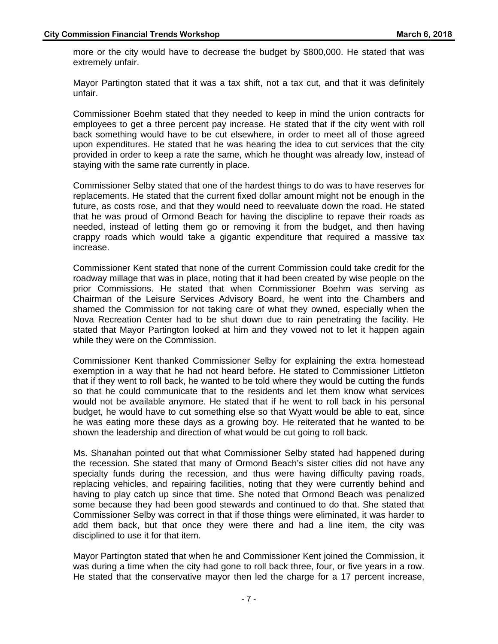more or the city would have to decrease the budget by \$800,000. He stated that was extremely unfair.

Mayor Partington stated that it was a tax shift, not a tax cut, and that it was definitely unfair.

Commissioner Boehm stated that they needed to keep in mind the union contracts for employees to get a three percent pay increase. He stated that if the city went with roll back something would have to be cut elsewhere, in order to meet all of those agreed upon expenditures. He stated that he was hearing the idea to cut services that the city provided in order to keep a rate the same, which he thought was already low, instead of staying with the same rate currently in place.

Commissioner Selby stated that one of the hardest things to do was to have reserves for replacements. He stated that the current fixed dollar amount might not be enough in the future, as costs rose, and that they would need to reevaluate down the road. He stated that he was proud of Ormond Beach for having the discipline to repave their roads as needed, instead of letting them go or removing it from the budget, and then having crappy roads which would take a gigantic expenditure that required a massive tax increase.

Commissioner Kent stated that none of the current Commission could take credit for the roadway millage that was in place, noting that it had been created by wise people on the prior Commissions. He stated that when Commissioner Boehm was serving as Chairman of the Leisure Services Advisory Board, he went into the Chambers and shamed the Commission for not taking care of what they owned, especially when the Nova Recreation Center had to be shut down due to rain penetrating the facility. He stated that Mayor Partington looked at him and they vowed not to let it happen again while they were on the Commission.

Commissioner Kent thanked Commissioner Selby for explaining the extra homestead exemption in a way that he had not heard before. He stated to Commissioner Littleton that if they went to roll back, he wanted to be told where they would be cutting the funds so that he could communicate that to the residents and let them know what services would not be available anymore. He stated that if he went to roll back in his personal budget, he would have to cut something else so that Wyatt would be able to eat, since he was eating more these days as a growing boy. He reiterated that he wanted to be shown the leadership and direction of what would be cut going to roll back.

Ms. Shanahan pointed out that what Commissioner Selby stated had happened during the recession. She stated that many of Ormond Beach's sister cities did not have any specialty funds during the recession, and thus were having difficulty paving roads, replacing vehicles, and repairing facilities, noting that they were currently behind and having to play catch up since that time. She noted that Ormond Beach was penalized some because they had been good stewards and continued to do that. She stated that Commissioner Selby was correct in that if those things were eliminated, it was harder to add them back, but that once they were there and had a line item, the city was disciplined to use it for that item.

Mayor Partington stated that when he and Commissioner Kent joined the Commission, it was during a time when the city had gone to roll back three, four, or five years in a row. He stated that the conservative mayor then led the charge for a 17 percent increase,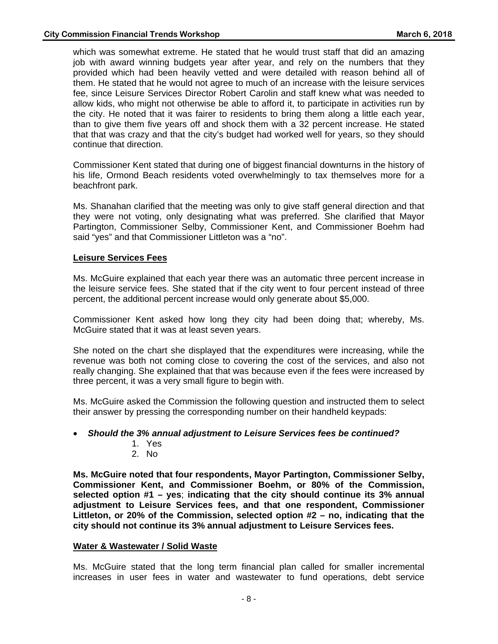which was somewhat extreme. He stated that he would trust staff that did an amazing job with award winning budgets year after year, and rely on the numbers that they provided which had been heavily vetted and were detailed with reason behind all of them. He stated that he would not agree to much of an increase with the leisure services fee, since Leisure Services Director Robert Carolin and staff knew what was needed to allow kids, who might not otherwise be able to afford it, to participate in activities run by the city. He noted that it was fairer to residents to bring them along a little each year, than to give them five years off and shock them with a 32 percent increase. He stated that that was crazy and that the city's budget had worked well for years, so they should continue that direction.

Commissioner Kent stated that during one of biggest financial downturns in the history of his life, Ormond Beach residents voted overwhelmingly to tax themselves more for a beachfront park.

Ms. Shanahan clarified that the meeting was only to give staff general direction and that they were not voting, only designating what was preferred. She clarified that Mayor Partington, Commissioner Selby, Commissioner Kent, and Commissioner Boehm had said "yes" and that Commissioner Littleton was a "no".

## **Leisure Services Fees**

Ms. McGuire explained that each year there was an automatic three percent increase in the leisure service fees. She stated that if the city went to four percent instead of three percent, the additional percent increase would only generate about \$5,000.

Commissioner Kent asked how long they city had been doing that; whereby, Ms. McGuire stated that it was at least seven years.

She noted on the chart she displayed that the expenditures were increasing, while the revenue was both not coming close to covering the cost of the services, and also not really changing. She explained that that was because even if the fees were increased by three percent, it was a very small figure to begin with.

Ms. McGuire asked the Commission the following question and instructed them to select their answer by pressing the corresponding number on their handheld keypads:

## *Should the 3% annual adjustment to Leisure Services fees be continued?*

- 1. Yes
- 2. No

**Ms. McGuire noted that four respondents, Mayor Partington, Commissioner Selby, Commissioner Kent, and Commissioner Boehm, or 80% of the Commission, selected option #1 – yes**; **indicating that the city should continue its 3% annual adjustment to Leisure Services fees, and that one respondent, Commissioner Littleton, or 20% of the Commission, selected option #2 – no, indicating that the city should not continue its 3% annual adjustment to Leisure Services fees.** 

## **Water & Wastewater / Solid Waste**

Ms. McGuire stated that the long term financial plan called for smaller incremental increases in user fees in water and wastewater to fund operations, debt service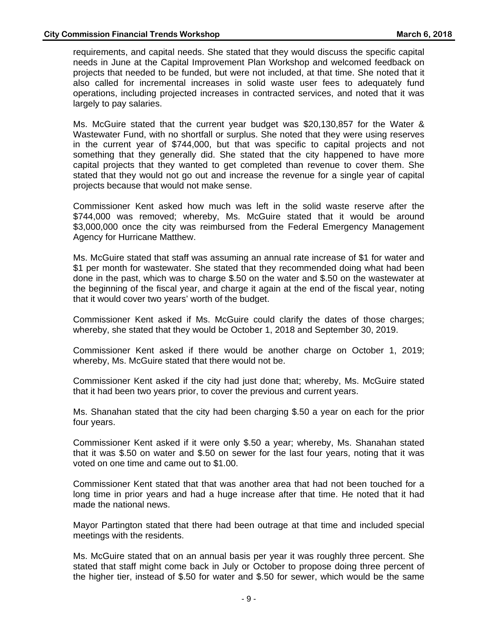requirements, and capital needs. She stated that they would discuss the specific capital needs in June at the Capital Improvement Plan Workshop and welcomed feedback on projects that needed to be funded, but were not included, at that time. She noted that it also called for incremental increases in solid waste user fees to adequately fund operations, including projected increases in contracted services, and noted that it was largely to pay salaries.

Ms. McGuire stated that the current year budget was \$20,130,857 for the Water & Wastewater Fund, with no shortfall or surplus. She noted that they were using reserves in the current year of \$744,000, but that was specific to capital projects and not something that they generally did. She stated that the city happened to have more capital projects that they wanted to get completed than revenue to cover them. She stated that they would not go out and increase the revenue for a single year of capital projects because that would not make sense.

Commissioner Kent asked how much was left in the solid waste reserve after the \$744,000 was removed; whereby, Ms. McGuire stated that it would be around \$3,000,000 once the city was reimbursed from the Federal Emergency Management Agency for Hurricane Matthew.

Ms. McGuire stated that staff was assuming an annual rate increase of \$1 for water and \$1 per month for wastewater. She stated that they recommended doing what had been done in the past, which was to charge \$.50 on the water and \$.50 on the wastewater at the beginning of the fiscal year, and charge it again at the end of the fiscal year, noting that it would cover two years' worth of the budget.

Commissioner Kent asked if Ms. McGuire could clarify the dates of those charges; whereby, she stated that they would be October 1, 2018 and September 30, 2019.

Commissioner Kent asked if there would be another charge on October 1, 2019; whereby, Ms. McGuire stated that there would not be.

Commissioner Kent asked if the city had just done that; whereby, Ms. McGuire stated that it had been two years prior, to cover the previous and current years.

Ms. Shanahan stated that the city had been charging \$.50 a year on each for the prior four years.

Commissioner Kent asked if it were only \$.50 a year; whereby, Ms. Shanahan stated that it was \$.50 on water and \$.50 on sewer for the last four years, noting that it was voted on one time and came out to \$1.00.

Commissioner Kent stated that that was another area that had not been touched for a long time in prior years and had a huge increase after that time. He noted that it had made the national news.

Mayor Partington stated that there had been outrage at that time and included special meetings with the residents.

Ms. McGuire stated that on an annual basis per year it was roughly three percent. She stated that staff might come back in July or October to propose doing three percent of the higher tier, instead of \$.50 for water and \$.50 for sewer, which would be the same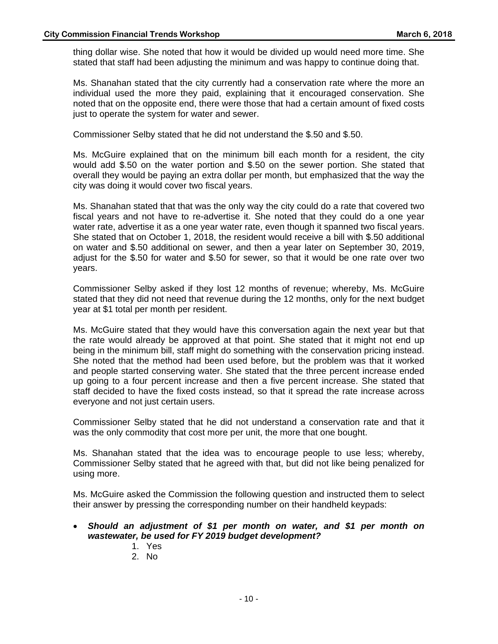thing dollar wise. She noted that how it would be divided up would need more time. She stated that staff had been adjusting the minimum and was happy to continue doing that.

Ms. Shanahan stated that the city currently had a conservation rate where the more an individual used the more they paid, explaining that it encouraged conservation. She noted that on the opposite end, there were those that had a certain amount of fixed costs just to operate the system for water and sewer.

Commissioner Selby stated that he did not understand the \$.50 and \$.50.

Ms. McGuire explained that on the minimum bill each month for a resident, the city would add \$.50 on the water portion and \$.50 on the sewer portion. She stated that overall they would be paying an extra dollar per month, but emphasized that the way the city was doing it would cover two fiscal years.

Ms. Shanahan stated that that was the only way the city could do a rate that covered two fiscal years and not have to re-advertise it. She noted that they could do a one year water rate, advertise it as a one year water rate, even though it spanned two fiscal years. She stated that on October 1, 2018, the resident would receive a bill with \$.50 additional on water and \$.50 additional on sewer, and then a year later on September 30, 2019, adjust for the \$.50 for water and \$.50 for sewer, so that it would be one rate over two years.

Commissioner Selby asked if they lost 12 months of revenue; whereby, Ms. McGuire stated that they did not need that revenue during the 12 months, only for the next budget year at \$1 total per month per resident.

Ms. McGuire stated that they would have this conversation again the next year but that the rate would already be approved at that point. She stated that it might not end up being in the minimum bill, staff might do something with the conservation pricing instead. She noted that the method had been used before, but the problem was that it worked and people started conserving water. She stated that the three percent increase ended up going to a four percent increase and then a five percent increase. She stated that staff decided to have the fixed costs instead, so that it spread the rate increase across everyone and not just certain users.

Commissioner Selby stated that he did not understand a conservation rate and that it was the only commodity that cost more per unit, the more that one bought.

Ms. Shanahan stated that the idea was to encourage people to use less; whereby, Commissioner Selby stated that he agreed with that, but did not like being penalized for using more.

Ms. McGuire asked the Commission the following question and instructed them to select their answer by pressing the corresponding number on their handheld keypads:

- *Should an adjustment of \$1 per month on water, and \$1 per month on wastewater, be used for FY 2019 budget development?* 
	- 1. Yes
	- 2. No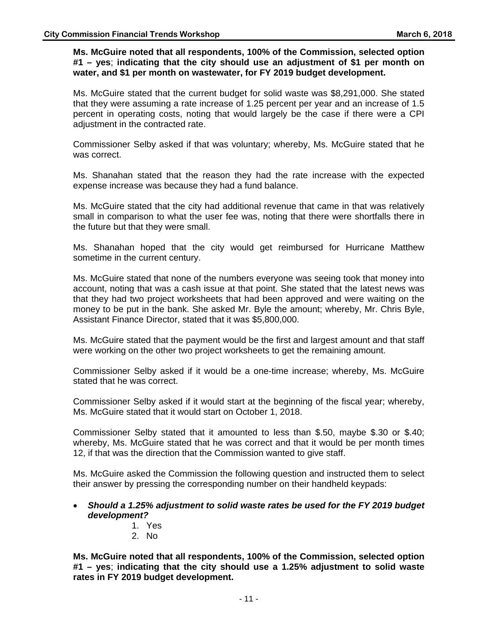## **Ms. McGuire noted that all respondents, 100% of the Commission, selected option #1 – yes**; **indicating that the city should use an adjustment of \$1 per month on water, and \$1 per month on wastewater, for FY 2019 budget development.**

Ms. McGuire stated that the current budget for solid waste was \$8,291,000. She stated that they were assuming a rate increase of 1.25 percent per year and an increase of 1.5 percent in operating costs, noting that would largely be the case if there were a CPI adjustment in the contracted rate.

Commissioner Selby asked if that was voluntary; whereby, Ms. McGuire stated that he was correct.

Ms. Shanahan stated that the reason they had the rate increase with the expected expense increase was because they had a fund balance.

Ms. McGuire stated that the city had additional revenue that came in that was relatively small in comparison to what the user fee was, noting that there were shortfalls there in the future but that they were small.

Ms. Shanahan hoped that the city would get reimbursed for Hurricane Matthew sometime in the current century.

Ms. McGuire stated that none of the numbers everyone was seeing took that money into account, noting that was a cash issue at that point. She stated that the latest news was that they had two project worksheets that had been approved and were waiting on the money to be put in the bank. She asked Mr. Byle the amount; whereby, Mr. Chris Byle, Assistant Finance Director, stated that it was \$5,800,000.

Ms. McGuire stated that the payment would be the first and largest amount and that staff were working on the other two project worksheets to get the remaining amount.

Commissioner Selby asked if it would be a one-time increase; whereby, Ms. McGuire stated that he was correct.

Commissioner Selby asked if it would start at the beginning of the fiscal year; whereby, Ms. McGuire stated that it would start on October 1, 2018.

Commissioner Selby stated that it amounted to less than \$.50, maybe \$.30 or \$.40; whereby, Ms. McGuire stated that he was correct and that it would be per month times 12, if that was the direction that the Commission wanted to give staff.

Ms. McGuire asked the Commission the following question and instructed them to select their answer by pressing the corresponding number on their handheld keypads:

## *Should a 1.25% adjustment to solid waste rates be used for the FY 2019 budget development?*

- 1. Yes
- 2. No

**Ms. McGuire noted that all respondents, 100% of the Commission, selected option #1 – yes**; **indicating that the city should use a 1.25% adjustment to solid waste rates in FY 2019 budget development.**